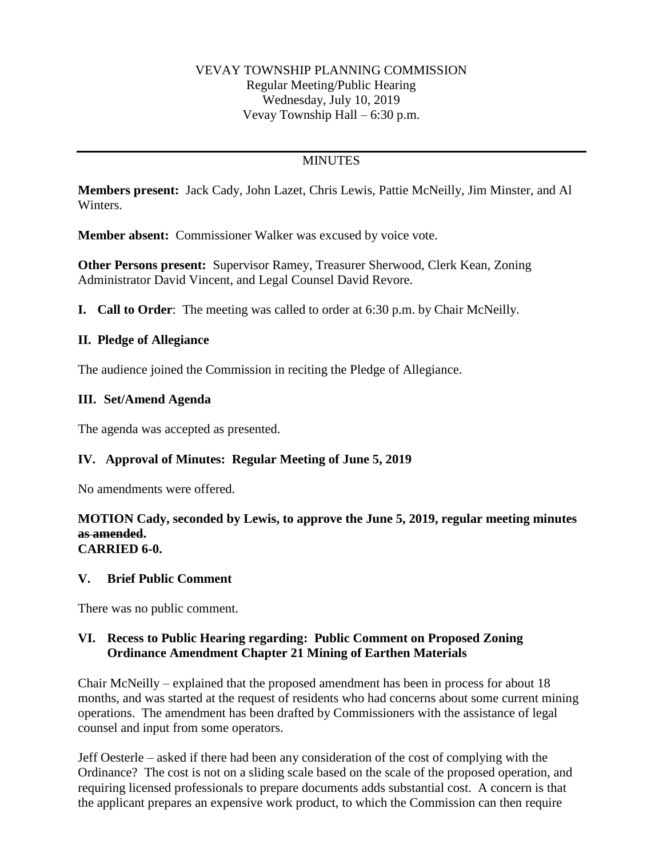### VEVAY TOWNSHIP PLANNING COMMISSION Regular Meeting/Public Hearing Wednesday, July 10, 2019 Vevay Township Hall – 6:30 p.m.

# **MINUTES**

**Members present:** Jack Cady, John Lazet, Chris Lewis, Pattie McNeilly, Jim Minster, and Al Winters.

**Member absent:** Commissioner Walker was excused by voice vote.

**Other Persons present:** Supervisor Ramey, Treasurer Sherwood, Clerk Kean, Zoning Administrator David Vincent, and Legal Counsel David Revore.

**I. Call to Order**: The meeting was called to order at 6:30 p.m. by Chair McNeilly.

### **II. Pledge of Allegiance**

The audience joined the Commission in reciting the Pledge of Allegiance.

### **III. Set/Amend Agenda**

The agenda was accepted as presented.

# **IV. Approval of Minutes: Regular Meeting of June 5, 2019**

No amendments were offered.

#### **MOTION Cady, seconded by Lewis, to approve the June 5, 2019, regular meeting minutes as amended. CARRIED 6-0.**

#### **V. Brief Public Comment**

There was no public comment.

### **VI. Recess to Public Hearing regarding: Public Comment on Proposed Zoning Ordinance Amendment Chapter 21 Mining of Earthen Materials**

Chair McNeilly – explained that the proposed amendment has been in process for about 18 months, and was started at the request of residents who had concerns about some current mining operations. The amendment has been drafted by Commissioners with the assistance of legal counsel and input from some operators.

Jeff Oesterle – asked if there had been any consideration of the cost of complying with the Ordinance? The cost is not on a sliding scale based on the scale of the proposed operation, and requiring licensed professionals to prepare documents adds substantial cost. A concern is that the applicant prepares an expensive work product, to which the Commission can then require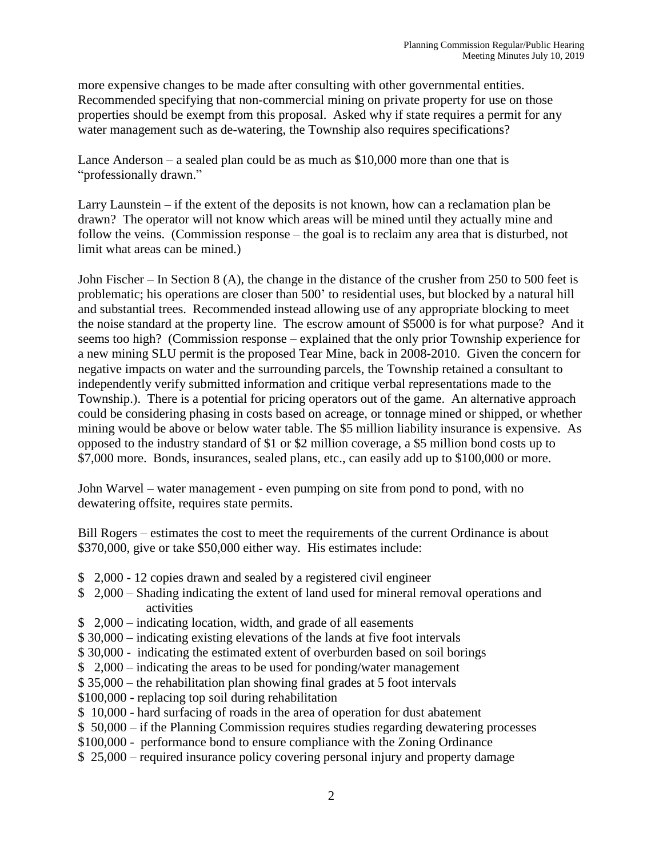more expensive changes to be made after consulting with other governmental entities. Recommended specifying that non-commercial mining on private property for use on those properties should be exempt from this proposal. Asked why if state requires a permit for any water management such as de-watering, the Township also requires specifications?

Lance Anderson – a sealed plan could be as much as \$10,000 more than one that is "professionally drawn."

Larry Launstein  $-$  if the extent of the deposits is not known, how can a reclamation plan be drawn? The operator will not know which areas will be mined until they actually mine and follow the veins. (Commission response – the goal is to reclaim any area that is disturbed, not limit what areas can be mined.)

John Fischer – In Section 8 (A), the change in the distance of the crusher from 250 to 500 feet is problematic; his operations are closer than 500' to residential uses, but blocked by a natural hill and substantial trees. Recommended instead allowing use of any appropriate blocking to meet the noise standard at the property line. The escrow amount of \$5000 is for what purpose? And it seems too high? (Commission response – explained that the only prior Township experience for a new mining SLU permit is the proposed Tear Mine, back in 2008-2010. Given the concern for negative impacts on water and the surrounding parcels, the Township retained a consultant to independently verify submitted information and critique verbal representations made to the Township.). There is a potential for pricing operators out of the game. An alternative approach could be considering phasing in costs based on acreage, or tonnage mined or shipped, or whether mining would be above or below water table. The \$5 million liability insurance is expensive. As opposed to the industry standard of \$1 or \$2 million coverage, a \$5 million bond costs up to \$7,000 more. Bonds, insurances, sealed plans, etc., can easily add up to \$100,000 or more.

John Warvel – water management - even pumping on site from pond to pond, with no dewatering offsite, requires state permits.

Bill Rogers – estimates the cost to meet the requirements of the current Ordinance is about \$370,000, give or take \$50,000 either way. His estimates include:

- \$ 2,000 12 copies drawn and sealed by a registered civil engineer
- \$ 2,000 Shading indicating the extent of land used for mineral removal operations and activities
- \$ 2,000 indicating location, width, and grade of all easements
- \$ 30,000 indicating existing elevations of the lands at five foot intervals
- \$ 30,000 indicating the estimated extent of overburden based on soil borings
- \$ 2,000 indicating the areas to be used for ponding/water management
- \$ 35,000 the rehabilitation plan showing final grades at 5 foot intervals
- \$100,000 replacing top soil during rehabilitation
- \$ 10,000 hard surfacing of roads in the area of operation for dust abatement
- \$ 50,000 if the Planning Commission requires studies regarding dewatering processes
- \$100,000 performance bond to ensure compliance with the Zoning Ordinance
- \$ 25,000 required insurance policy covering personal injury and property damage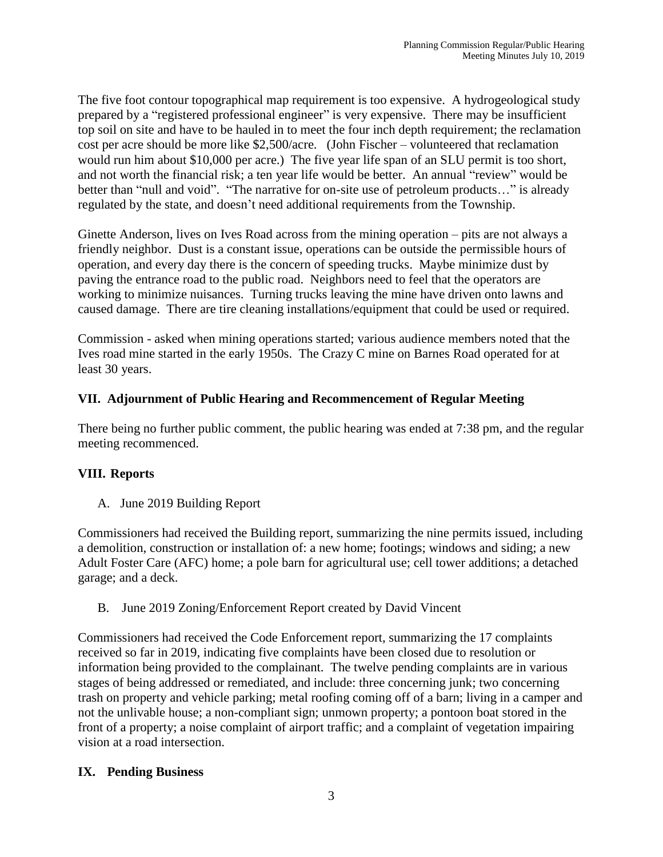The five foot contour topographical map requirement is too expensive. A hydrogeological study prepared by a "registered professional engineer" is very expensive. There may be insufficient top soil on site and have to be hauled in to meet the four inch depth requirement; the reclamation cost per acre should be more like \$2,500/acre. (John Fischer – volunteered that reclamation would run him about \$10,000 per acre.) The five year life span of an SLU permit is too short, and not worth the financial risk; a ten year life would be better. An annual "review" would be better than "null and void". "The narrative for on-site use of petroleum products..." is already regulated by the state, and doesn't need additional requirements from the Township.

Ginette Anderson, lives on Ives Road across from the mining operation – pits are not always a friendly neighbor. Dust is a constant issue, operations can be outside the permissible hours of operation, and every day there is the concern of speeding trucks. Maybe minimize dust by paving the entrance road to the public road. Neighbors need to feel that the operators are working to minimize nuisances. Turning trucks leaving the mine have driven onto lawns and caused damage. There are tire cleaning installations/equipment that could be used or required.

Commission - asked when mining operations started; various audience members noted that the Ives road mine started in the early 1950s. The Crazy C mine on Barnes Road operated for at least 30 years.

# **VII. Adjournment of Public Hearing and Recommencement of Regular Meeting**

There being no further public comment, the public hearing was ended at 7:38 pm, and the regular meeting recommenced.

# **VIII. Reports**

A. June 2019 Building Report

Commissioners had received the Building report, summarizing the nine permits issued, including a demolition, construction or installation of: a new home; footings; windows and siding; a new Adult Foster Care (AFC) home; a pole barn for agricultural use; cell tower additions; a detached garage; and a deck.

B. June 2019 Zoning/Enforcement Report created by David Vincent

Commissioners had received the Code Enforcement report, summarizing the 17 complaints received so far in 2019, indicating five complaints have been closed due to resolution or information being provided to the complainant. The twelve pending complaints are in various stages of being addressed or remediated, and include: three concerning junk; two concerning trash on property and vehicle parking; metal roofing coming off of a barn; living in a camper and not the unlivable house; a non-compliant sign; unmown property; a pontoon boat stored in the front of a property; a noise complaint of airport traffic; and a complaint of vegetation impairing vision at a road intersection.

# **IX. Pending Business**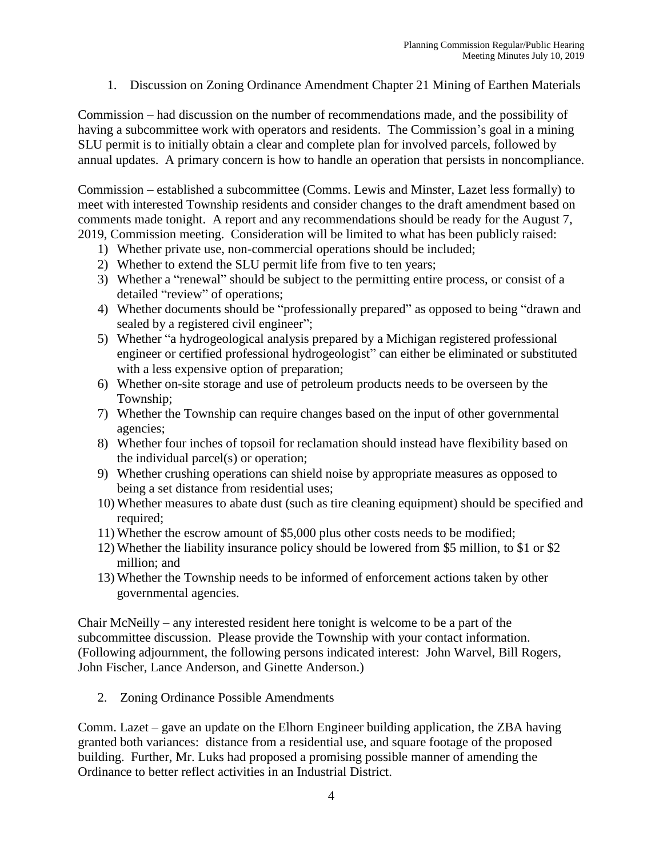1. Discussion on Zoning Ordinance Amendment Chapter 21 Mining of Earthen Materials

Commission – had discussion on the number of recommendations made, and the possibility of having a subcommittee work with operators and residents. The Commission's goal in a mining SLU permit is to initially obtain a clear and complete plan for involved parcels, followed by annual updates. A primary concern is how to handle an operation that persists in noncompliance.

Commission – established a subcommittee (Comms. Lewis and Minster, Lazet less formally) to meet with interested Township residents and consider changes to the draft amendment based on comments made tonight. A report and any recommendations should be ready for the August 7, 2019, Commission meeting. Consideration will be limited to what has been publicly raised:

- 1) Whether private use, non-commercial operations should be included;
- 2) Whether to extend the SLU permit life from five to ten years;
- 3) Whether a "renewal" should be subject to the permitting entire process, or consist of a detailed "review" of operations;
- 4) Whether documents should be "professionally prepared" as opposed to being "drawn and sealed by a registered civil engineer";
- 5) Whether "a hydrogeological analysis prepared by a Michigan registered professional engineer or certified professional hydrogeologist" can either be eliminated or substituted with a less expensive option of preparation;
- 6) Whether on-site storage and use of petroleum products needs to be overseen by the Township;
- 7) Whether the Township can require changes based on the input of other governmental agencies;
- 8) Whether four inches of topsoil for reclamation should instead have flexibility based on the individual parcel(s) or operation;
- 9) Whether crushing operations can shield noise by appropriate measures as opposed to being a set distance from residential uses;
- 10) Whether measures to abate dust (such as tire cleaning equipment) should be specified and required;
- 11) Whether the escrow amount of \$5,000 plus other costs needs to be modified;
- 12) Whether the liability insurance policy should be lowered from \$5 million, to \$1 or \$2 million; and
- 13) Whether the Township needs to be informed of enforcement actions taken by other governmental agencies.

Chair McNeilly – any interested resident here tonight is welcome to be a part of the subcommittee discussion. Please provide the Township with your contact information. (Following adjournment, the following persons indicated interest: John Warvel, Bill Rogers, John Fischer, Lance Anderson, and Ginette Anderson.)

2. Zoning Ordinance Possible Amendments

Comm. Lazet – gave an update on the Elhorn Engineer building application, the ZBA having granted both variances: distance from a residential use, and square footage of the proposed building. Further, Mr. Luks had proposed a promising possible manner of amending the Ordinance to better reflect activities in an Industrial District.